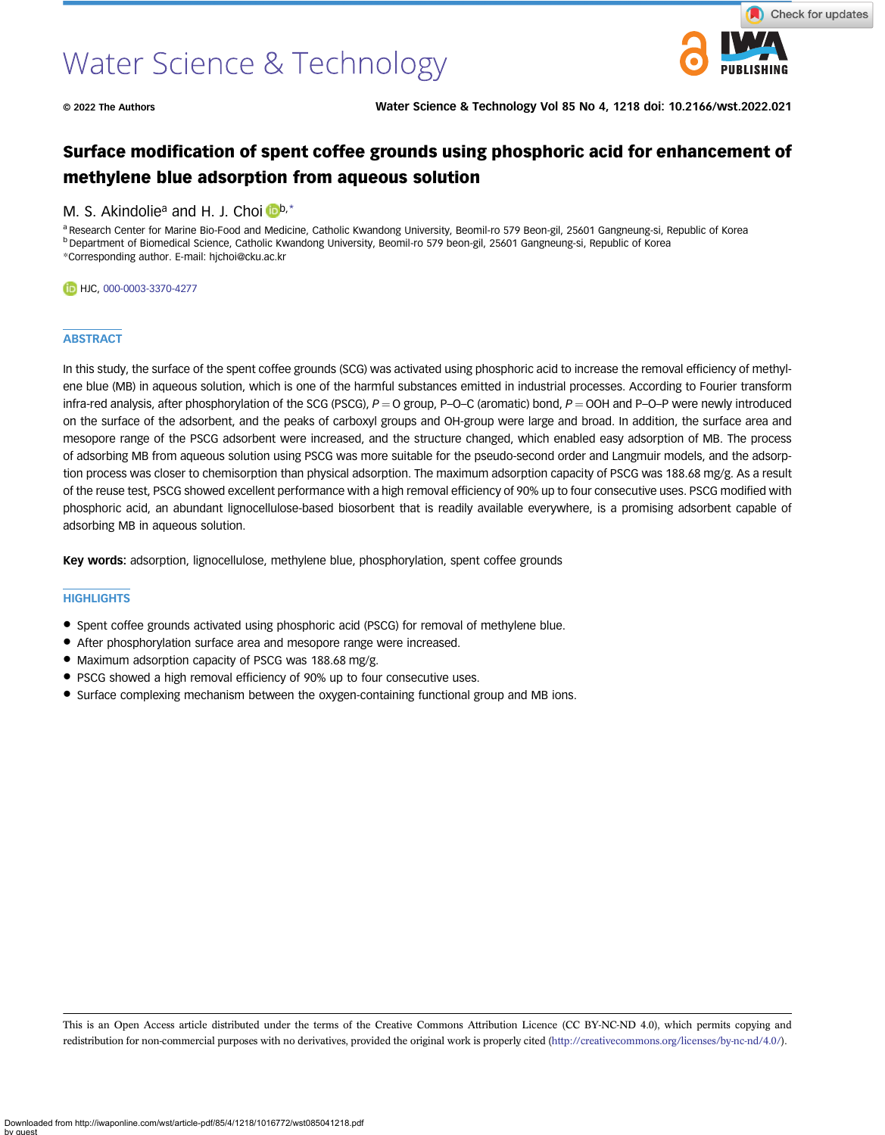# Water Science & Technology



© 2022 The Authors Water Science & Technology Vol 85 No 4, 1218 doi: 10.2166/wst.2022.021

# Surface modification of spent coffee grounds using phosphoric acid for enhancement of methylene blue adsorption from aqueous solution

# M. S. Akindolie<sup>a</sup> and H. J. Choi  $\mathbb{D}^{b,*}$  $\mathbb{D}^{b,*}$  $\mathbb{D}^{b,*}$

a Research Center for Marine Bio-Food and Medicine, Catholic Kwandong University, Beomil-ro 579 Beon-gil, 25601 Gangneung-si, Republic of Korea <sup>b</sup> Department of Biomedical Science, Catholic Kwandong University, Beomil-ro 579 beon-gil, 25601 Gangneung-si, Republic of Korea \*Corresponding author. E-mail: [hjchoi@cku.ac.kr](mailto:hjchoi@cku.ac.kr)

#### HJC, [000-0003-3370-4277](http://orcid.org/000-0003-3370-4277)

# **ABSTRACT**

In this study, the surface of the spent coffee grounds (SCG) was activated using phosphoric acid to increase the removal efficiency of methylene blue (MB) in aqueous solution, which is one of the harmful substances emitted in industrial processes. According to Fourier transform infra-red analysis, after phosphorylation of the SCG (PSCG),  $P = Q$  group, P–O–C (aromatic) bond,  $P = QOH$  and P–O–P were newly introduced on the surface of the adsorbent, and the peaks of carboxyl groups and OH-group were large and broad. In addition, the surface area and mesopore range of the PSCG adsorbent were increased, and the structure changed, which enabled easy adsorption of MB. The process of adsorbing MB from aqueous solution using PSCG was more suitable for the pseudo-second order and Langmuir models, and the adsorption process was closer to chemisorption than physical adsorption. The maximum adsorption capacity of PSCG was 188.68 mg/g. As a result of the reuse test, PSCG showed excellent performance with a high removal efficiency of 90% up to four consecutive uses. PSCG modified with phosphoric acid, an abundant lignocellulose-based biosorbent that is readily available everywhere, is a promising adsorbent capable of adsorbing MB in aqueous solution.

Key words: adsorption, lignocellulose, methylene blue, phosphorylation, spent coffee grounds

#### **HIGHLIGHTS**

- Spent coffee grounds activated using phosphoric acid (PSCG) for removal of methylene blue.
- After phosphorylation surface area and mesopore range were increased.
- Maximum adsorption capacity of PSCG was 188.68 mg/g.
- PSCG showed a high removal efficiency of 90% up to four consecutive uses.
- Surface complexing mechanism between the oxygen-containing functional group and MB ions.

This is an Open Access article distributed under the terms of the Creative Commons Attribution Licence (CC BY-NC-ND 4.0), which permits copying and redistribution for non-commercial purposes with no derivatives, provided the original work is properly cited [\(http://creativecommons.org/licenses/by-nc-nd/4.0/](http://creativecommons.org/licenses/by-nc-nd/4.0/)).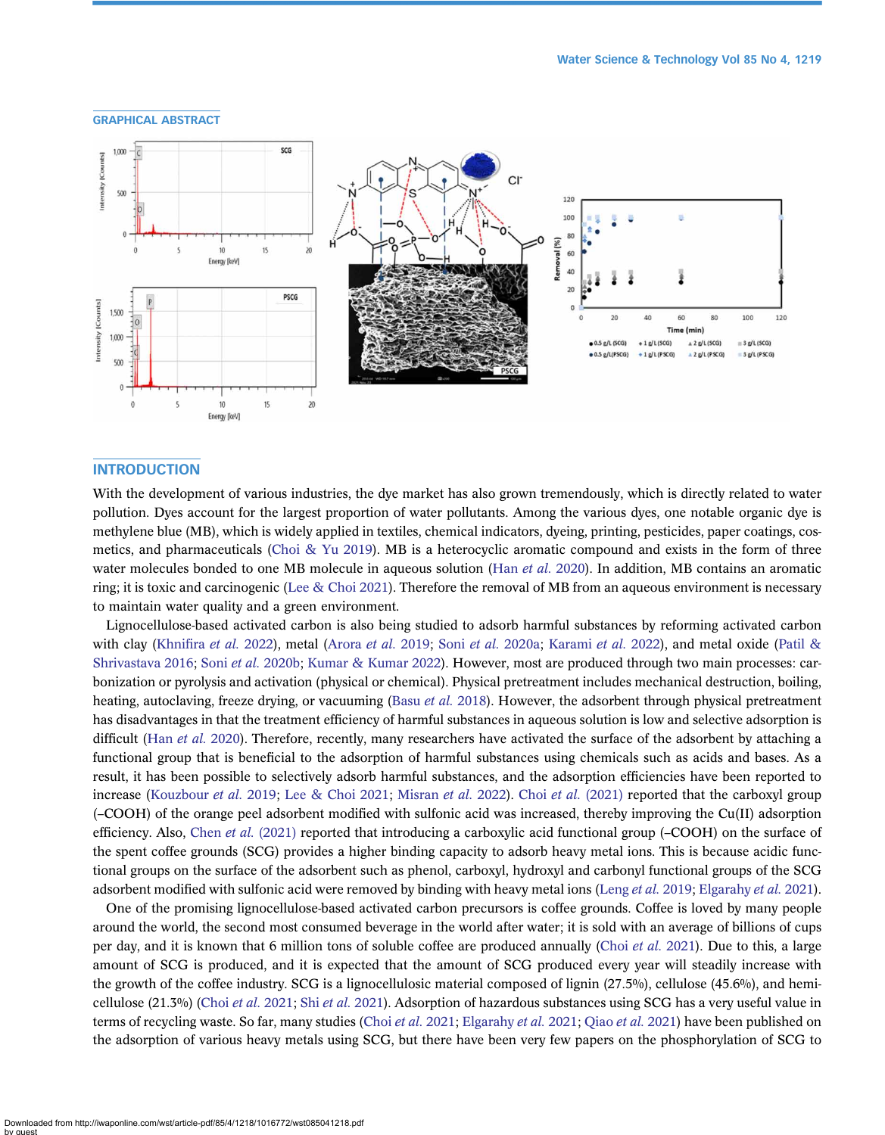



# INTRODUCTION

With the development of various industries, the dye market has also grown tremendously, which is directly related to water pollution. Dyes account for the largest proportion of water pollutants. Among the various dyes, one notable organic dye is methylene blue (MB), which is widely applied in textiles, chemical indicators, dyeing, printing, pesticides, paper coatings, cos-metics, and pharmaceuticals [\(Choi & Yu 2019\)](#page-15-0). MB is a heterocyclic aromatic compound and exists in the form of three water molecules bonded to one MB molecule in aqueous solution (Han [et al.](#page-15-0) 2020). In addition, MB contains an aromatic ring; it is toxic and carcinogenic [\(Lee & Choi 2021\)](#page-15-0). Therefore the removal of MB from an aqueous environment is necessary to maintain water quality and a green environment.

Lignocellulose-based activated carbon is also being studied to adsorb harmful substances by reforming activated carbon with clay (Khnifira [et al.](#page-15-0) 2022), metal ([Arora](#page-15-0) et al. 2019; Soni et al. [2020a;](#page-16-0) [Karami](#page-15-0) et al. 2022), and metal oxide [\(Patil &](#page-16-0) [Shrivastava 2016](#page-16-0); Soni et al. [2020b;](#page-16-0) [Kumar & Kumar 2022\)](#page-15-0). However, most are produced through two main processes: carbonization or pyrolysis and activation (physical or chemical). Physical pretreatment includes mechanical destruction, boiling, heating, autoclaving, freeze drying, or vacuuming (Basu [et al.](#page-15-0) 2018). However, the adsorbent through physical pretreatment has disadvantages in that the treatment efficiency of harmful substances in aqueous solution is low and selective adsorption is difficult (Han *[et al.](#page-15-0)* 2020). Therefore, recently, many researchers have activated the surface of the adsorbent by attaching a functional group that is beneficial to the adsorption of harmful substances using chemicals such as acids and bases. As a result, it has been possible to selectively adsorb harmful substances, and the adsorption efficiencies have been reported to increase ([Kouzbour](#page-15-0) et al. 2019; [Lee & Choi 2021](#page-15-0); [Misran](#page-16-0) et al. 2022). Choi et al. [\(2021\)](#page-15-0) reported that the carboxyl group (–COOH) of the orange peel adsorbent modified with sulfonic acid was increased, thereby improving the Cu(II) adsorption efficiency. Also, Chen et al.  $(2021)$  reported that introducing a carboxylic acid functional group  $(-COOH)$  on the surface of the spent coffee grounds (SCG) provides a higher binding capacity to adsorb heavy metal ions. This is because acidic functional groups on the surface of the adsorbent such as phenol, carboxyl, hydroxyl and carbonyl functional groups of the SCG adsorbent modified with sulfonic acid were removed by binding with heavy metal ions ([Leng](#page-15-0) et al. 2019; [Elgarahy](#page-15-0) et al. 2021).

One of the promising lignocellulose-based activated carbon precursors is coffee grounds. Coffee is loved by many people around the world, the second most consumed beverage in the world after water; it is sold with an average of billions of cups per day, and it is known that 6 million tons of soluble coffee are produced annually (Choi [et al.](#page-15-0) 2021). Due to this, a large amount of SCG is produced, and it is expected that the amount of SCG produced every year will steadily increase with the growth of the coffee industry. SCG is a lignocellulosic material composed of lignin  $(27.5\%)$ , cellulose  $(45.6\%)$ , and hemi-cellulose (21.3%) (Choi et al. [2021;](#page-15-0) Shi et al. [2021](#page-16-0)). Adsorption of hazardous substances using SCG has a very useful value in terms of recycling waste. So far, many studies (Choi et al. [2021;](#page-15-0) [Elgarahy](#page-15-0) et al. [2021](#page-16-0); Qiao et al. 2021) have been published on the adsorption of various heavy metals using SCG, but there have been very few papers on the phosphorylation of SCG to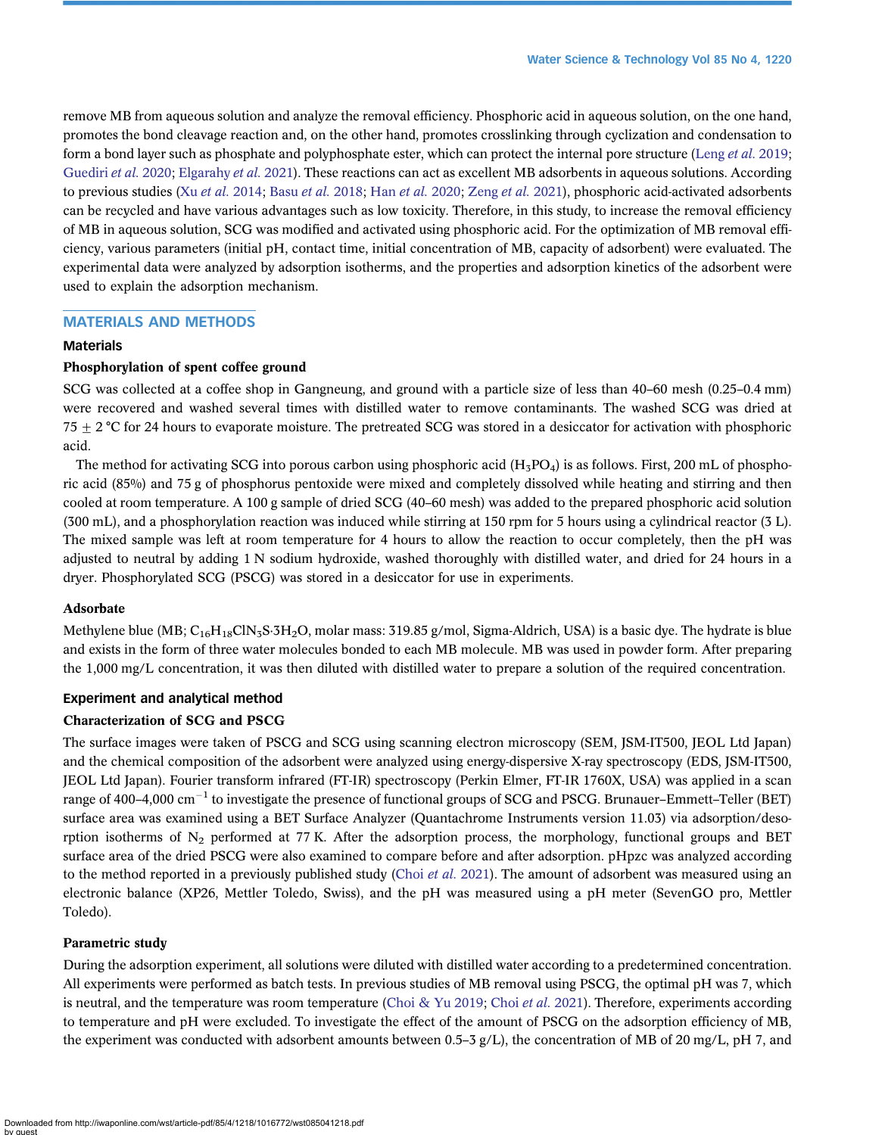remove MB from aqueous solution and analyze the removal efficiency. Phosphoric acid in aqueous solution, on the one hand, promotes the bond cleavage reaction and, on the other hand, promotes crosslinking through cyclization and condensation to form a bond layer such as phosphate and polyphosphate ester, which can protect the internal pore structure ([Leng](#page-15-0) et al. 2019; [Guediri](#page-15-0) et al. 2020; [Elgarahy](#page-15-0) et al. 2021). These reactions can act as excellent MB adsorbents in aqueous solutions. According to previous studies (Xu et al. [2014;](#page-16-0) Basu et al. [2018;](#page-15-0) Han [et al.](#page-15-0) 2020; [Zeng](#page-16-0) et al. 2021), phosphoric acid-activated adsorbents can be recycled and have various advantages such as low toxicity. Therefore, in this study, to increase the removal efficiency of MB in aqueous solution, SCG was modified and activated using phosphoric acid. For the optimization of MB removal efficiency, various parameters (initial pH, contact time, initial concentration of MB, capacity of adsorbent) were evaluated. The experimental data were analyzed by adsorption isotherms, and the properties and adsorption kinetics of the adsorbent were used to explain the adsorption mechanism.

# MATERIALS AND METHODS

# Materials

# Phosphorylation of spent coffee ground

SCG was collected at a coffee shop in Gangneung, and ground with a particle size of less than 40–60 mesh (0.25–0.4 mm) were recovered and washed several times with distilled water to remove contaminants. The washed SCG was dried at  $75 + 2$  °C for 24 hours to evaporate moisture. The pretreated SCG was stored in a desiccator for activation with phosphoric acid.

The method for activating SCG into porous carbon using phosphoric acid  $(H_3PO_4)$  is as follows. First, 200 mL of phosphoric acid (85%) and 75 g of phosphorus pentoxide were mixed and completely dissolved while heating and stirring and then cooled at room temperature. A 100 g sample of dried SCG (40–60 mesh) was added to the prepared phosphoric acid solution (300 mL), and a phosphorylation reaction was induced while stirring at 150 rpm for 5 hours using a cylindrical reactor (3 L). The mixed sample was left at room temperature for 4 hours to allow the reaction to occur completely, then the pH was adjusted to neutral by adding 1 N sodium hydroxide, washed thoroughly with distilled water, and dried for 24 hours in a dryer. Phosphorylated SCG (PSCG) was stored in a desiccator for use in experiments.

#### Adsorbate

Methylene blue (MB;  $C_{16}H_{18}C\text{IN}_3S\cdot 3H_2O$ , molar mass: 319.85 g/mol, Sigma-Aldrich, USA) is a basic dye. The hydrate is blue and exists in the form of three water molecules bonded to each MB molecule. MB was used in powder form. After preparing the 1,000 mg/L concentration, it was then diluted with distilled water to prepare a solution of the required concentration.

#### Experiment and analytical method

#### Characterization of SCG and PSCG

The surface images were taken of PSCG and SCG using scanning electron microscopy (SEM, JSM-IT500, JEOL Ltd Japan) and the chemical composition of the adsorbent were analyzed using energy-dispersive X-ray spectroscopy (EDS, JSM-IT500, JEOL Ltd Japan). Fourier transform infrared (FT-IR) spectroscopy (Perkin Elmer, FT-IR 1760X, USA) was applied in a scan range of 400–4,000  $\rm cm^{-1}$  to investigate the presence of functional groups of SCG and PSCG. Brunauer–Emmett–Teller (BET) surface area was examined using a BET Surface Analyzer (Quantachrome Instruments version 11.03) via adsorption/desorption isotherms of  $N_2$  performed at 77 K. After the adsorption process, the morphology, functional groups and BET surface area of the dried PSCG were also examined to compare before and after adsorption. pHpzc was analyzed according to the method reported in a previously published study (Choi *[et al.](#page-15-0)* 2021). The amount of adsorbent was measured using an electronic balance (XP26, Mettler Toledo, Swiss), and the pH was measured using a pH meter (SevenGO pro, Mettler Toledo).

#### Parametric study

During the adsorption experiment, all solutions were diluted with distilled water according to a predetermined concentration. All experiments were performed as batch tests. In previous studies of MB removal using PSCG, the optimal pH was 7, which is neutral, and the temperature was room temperature [\(Choi & Yu 2019;](#page-15-0) Choi et al. [2021](#page-15-0)). Therefore, experiments according to temperature and pH were excluded. To investigate the effect of the amount of PSCG on the adsorption efficiency of MB, the experiment was conducted with adsorbent amounts between 0.5–3 g/L), the concentration of MB of 20 mg/L, pH 7, and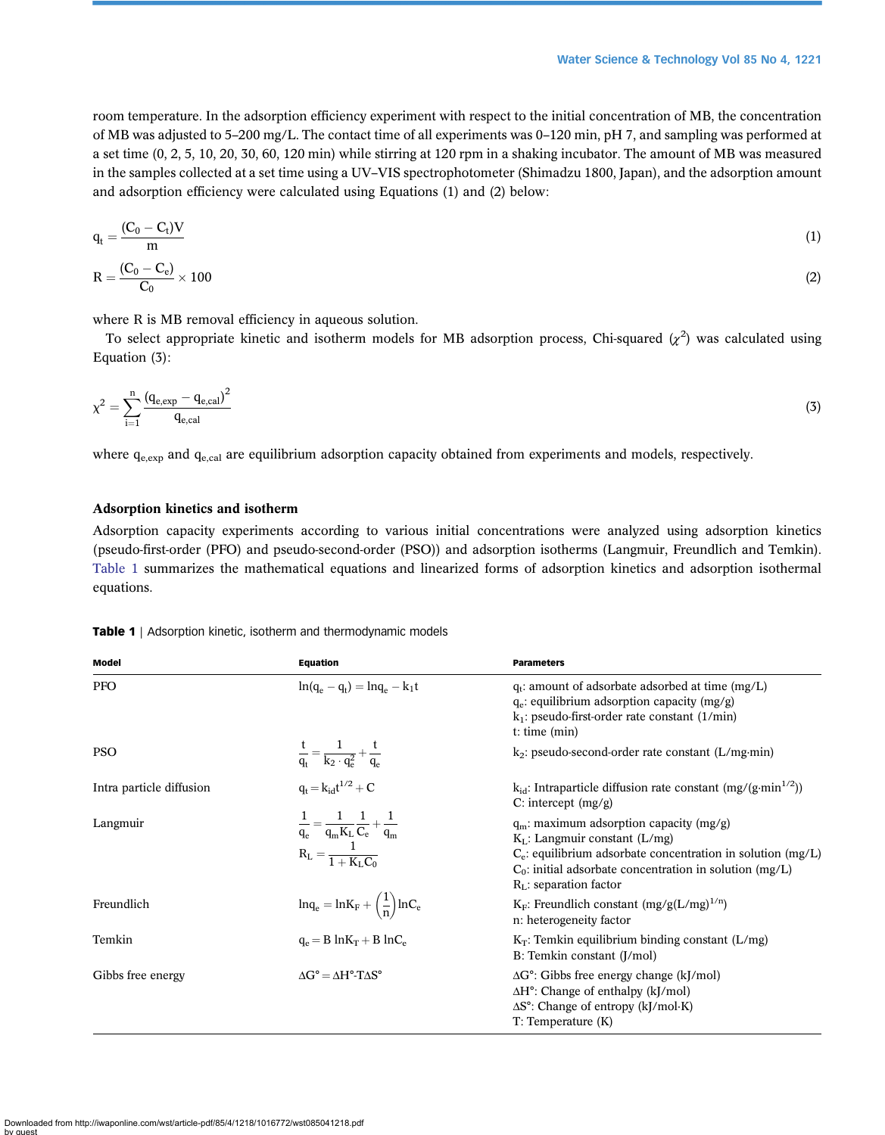room temperature. In the adsorption efficiency experiment with respect to the initial concentration of MB, the concentration of MB was adjusted to 5–200 mg/L. The contact time of all experiments was 0–120 min, pH 7, and sampling was performed at a set time (0, 2, 5, 10, 20, 30, 60, 120 min) while stirring at 120 rpm in a shaking incubator. The amount of MB was measured in the samples collected at a set time using a UV–VIS spectrophotometer (Shimadzu 1800, Japan), and the adsorption amount and adsorption efficiency were calculated using Equations (1) and (2) below:

$$
q_t = \frac{(C_0 - C_t)V}{m}
$$
\n
$$
P = \frac{(C_0 - C_e) V}{m}
$$
\n(1)

$$
R = \frac{(C_0 - C_e)}{C_0} \times 100
$$
 (2)

where R is MB removal efficiency in aqueous solution.

To select appropriate kinetic and isotherm models for MB adsorption process, Chi-squared  $(\chi^2)$  was calculated using Equation (3):

$$
\chi^2 = \sum_{i=1}^n \frac{(q_{e,exp} - q_{e,cal})^2}{q_{e,cal}} \tag{3}
$$

where  $q_{e,exp}$  and  $q_{e,cal}$  are equilibrium adsorption capacity obtained from experiments and models, respectively.

# Adsorption kinetics and isotherm

Adsorption capacity experiments according to various initial concentrations were analyzed using adsorption kinetics (pseudo-first-order (PFO) and pseudo-second-order (PSO)) and adsorption isotherms (Langmuir, Freundlich and Temkin). Table 1 summarizes the mathematical equations and linearized forms of adsorption kinetics and adsorption isothermal equations.

| Model                    | <b>Equation</b>                                                                                    | <b>Parameters</b>                                                                                                                                                                                                                          |  |
|--------------------------|----------------------------------------------------------------------------------------------------|--------------------------------------------------------------------------------------------------------------------------------------------------------------------------------------------------------------------------------------------|--|
| <b>PFO</b>               | $\ln(q_{0} - q_{t}) = \ln q_{0} - k_{1}t$                                                          | $q_t$ : amount of adsorbate adsorbed at time (mg/L)<br>$q_e$ : equilibrium adsorption capacity (mg/g)<br>$k_1$ : pseudo-first-order rate constant (1/min)<br>$t:$ time $(min)$                                                             |  |
| <b>PSO</b>               | $rac{t}{q_t} = \frac{1}{k_2 \cdot q_e^2} + \frac{t}{q_e}$                                          | $k_2$ : pseudo-second-order rate constant (L/mg·min)                                                                                                                                                                                       |  |
| Intra particle diffusion | $q_t = k_{id}t^{1/2} + C$                                                                          | $k_{id}$ : Intraparticle diffusion rate constant (mg/(g·min <sup>1/2</sup> ))<br>C: intercept $(mg/g)$                                                                                                                                     |  |
| Langmuir                 | $\frac{1}{q_e} = \frac{1}{q_m K_L} \frac{1}{C_e} + \frac{1}{q_m}$<br>$R_L = \frac{1}{1 + K_L C_e}$ | $q_m$ : maximum adsorption capacity (mg/g)<br>$K_L$ : Langmuir constant (L/mg)<br>$C_e$ : equilibrium adsorbate concentration in solution (mg/L)<br>$C_0$ : initial adsorbate concentration in solution (mg/L)<br>$RL$ : separation factor |  |
| Freundlich               | $lnq_e = lnK_F + \left(\frac{1}{n}\right)lnC_e$                                                    | $K_F$ : Freundlich constant (mg/g(L/mg) <sup>1/n</sup> )<br>n: heterogeneity factor                                                                                                                                                        |  |
| Temkin                   | $q_e = B \ln K_T + B \ln C_e$                                                                      | $K_T$ : Temkin equilibrium binding constant (L/mg)<br>B: Temkin constant (J/mol)                                                                                                                                                           |  |
| Gibbs free energy        | $\Lambda$ G° = $\Lambda$ H°-T $\Lambda$ S°                                                         | $\Delta G^{\circ}$ : Gibbs free energy change (kJ/mol)<br>$\Delta H^{\circ}$ : Change of enthalpy (kJ/mol)<br>$\Delta S^{\circ}$ : Change of entropy (kJ/mol·K)<br>T: Temperature(K)                                                       |  |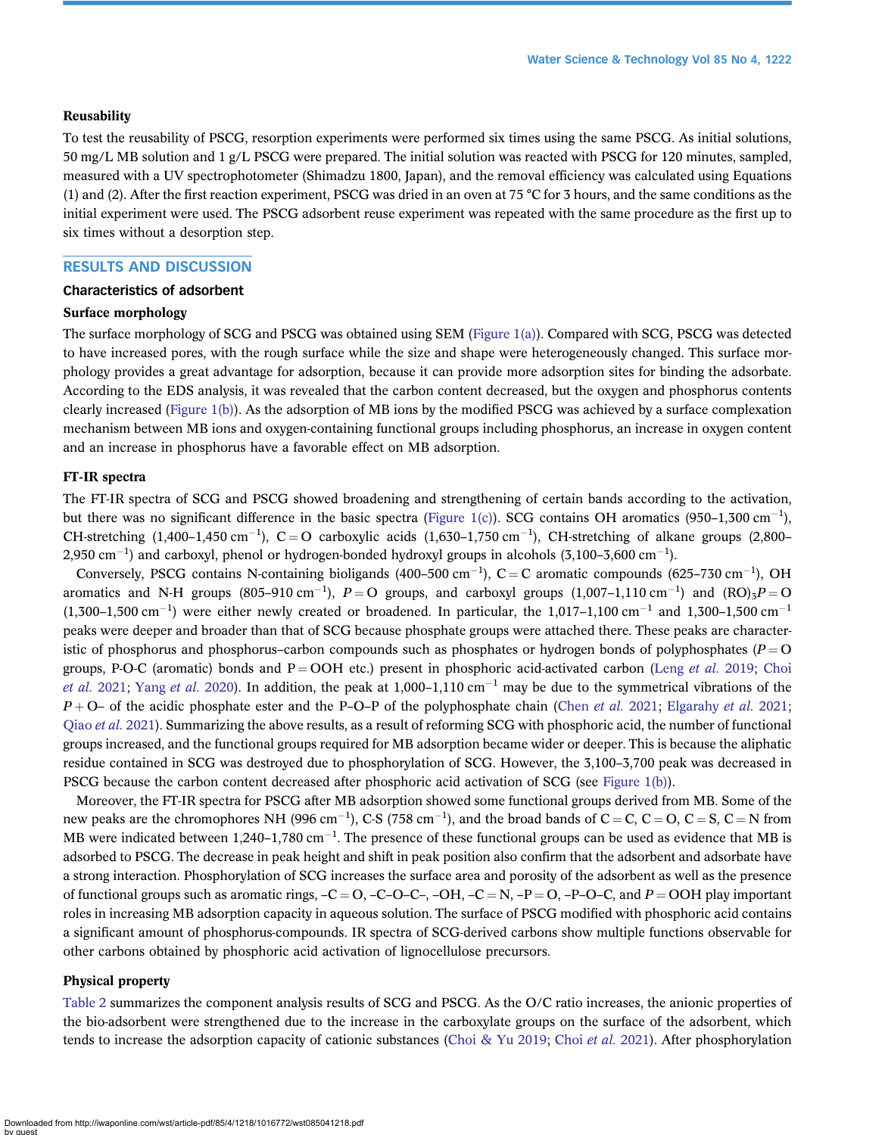#### **Reusability**

To test the reusability of PSCG, resorption experiments were performed six times using the same PSCG. As initial solutions, 50 mg/L MB solution and 1 g/L PSCG were prepared. The initial solution was reacted with PSCG for 120 minutes, sampled, measured with a UV spectrophotometer (Shimadzu 1800, Japan), and the removal efficiency was calculated using Equations (1) and (2). After the first reaction experiment, PSCG was dried in an oven at 75 °C for 3 hours, and the same conditions as the initial experiment were used. The PSCG adsorbent reuse experiment was repeated with the same procedure as the first up to six times without a desorption step.

# RESULTS AND DISCUSSION

#### Characteristics of adsorbent

#### Surface morphology

The surface morphology of SCG and PSCG was obtained using SEM ([Figure 1\(a\)](#page-5-0)). Compared with SCG, PSCG was detected to have increased pores, with the rough surface while the size and shape were heterogeneously changed. This surface morphology provides a great advantage for adsorption, because it can provide more adsorption sites for binding the adsorbate. According to the EDS analysis, it was revealed that the carbon content decreased, but the oxygen and phosphorus contents clearly increased [\(Figure 1\(b\)](#page-5-0)). As the adsorption of MB ions by the modified PSCG was achieved by a surface complexation mechanism between MB ions and oxygen-containing functional groups including phosphorus, an increase in oxygen content and an increase in phosphorus have a favorable effect on MB adsorption.

#### FT-IR spectra

The FT-IR spectra of SCG and PSCG showed broadening and strengthening of certain bands according to the activation, but there was no significant difference in the basic spectra ([Figure 1\(c\)\)](#page-5-0). SCG contains OH aromatics (950-1,300 cm<sup>-1</sup>), CH-stretching  $(1,400-1,450 \text{ cm}^{-1})$ , C=O carboxylic acids  $(1,630-1,750 \text{ cm}^{-1})$ , CH-stretching of alkane groups  $(2,800-1,750 \text{ cm}^{-1})$ 2,950 cm $^{-1}$ ) and carboxyl, phenol or hydrogen-bonded hydroxyl groups in alcohols (3,100–3,600 cm $^{-1}$ ).

Conversely, PSCG contains N-containing bioligands  $(400-500 \text{ cm}^{-1})$ , C = C aromatic compounds  $(625-730 \text{ cm}^{-1})$ , OH aromatics and N-H groups (805–910 cm<sup>-1</sup>),  $P = O$  groups, and carboxyl groups (1,007–1,110 cm<sup>-1</sup>) and (RO)<sub>3</sub> $P = O$  $(1,300-1,500 \text{ cm}^{-1})$  were either newly created or broadened. In particular, the 1,017-1,100 cm<sup>-1</sup> and 1,300-1,500 cm<sup>-1</sup> peaks were deeper and broader than that of SCG because phosphate groups were attached there. These peaks are characteristic of phosphorus and phosphorus–carbon compounds such as phosphates or hydrogen bonds of polyphosphates ( $P = O$ groups, P-O-C (aromatic) bonds and  $P = OOH$  etc.) present in phosphoric acid-activated carbon (Leng [et al.](#page-15-0) 2019; [Choi](#page-15-0) [et al.](#page-15-0) 2021; [Yang](#page-16-0) et al. 2020). In addition, the peak at  $1,000-1,110$  cm<sup>-1</sup> may be due to the symmetrical vibrations of the  $P + O$ – of the acidic phosphate ester and the P–O–P of the polyphosphate chain [\(Chen](#page-15-0) *et al.* 2021; [Elgarahy](#page-15-0) *et al.* 2021; Qiao et al. [2021\)](#page-16-0). Summarizing the above results, as a result of reforming SCG with phosphoric acid, the number of functional groups increased, and the functional groups required for MB adsorption became wider or deeper. This is because the aliphatic residue contained in SCG was destroyed due to phosphorylation of SCG. However, the 3,100–3,700 peak was decreased in PSCG because the carbon content decreased after phosphoric acid activation of SCG (see [Figure 1\(b\)\)](#page-5-0).

Moreover, the FT-IR spectra for PSCG after MB adsorption showed some functional groups derived from MB. Some of the new peaks are the chromophores NH (996 cm<sup>-1</sup>), C-S (758 cm<sup>-1</sup>), and the broad bands of C = C, C = O, C = S, C = N from MB were indicated between 1,240–1,780 cm<sup>-1</sup>. The presence of these functional groups can be used as evidence that MB is adsorbed to PSCG. The decrease in peak height and shift in peak position also confirm that the adsorbent and adsorbate have a strong interaction. Phosphorylation of SCG increases the surface area and porosity of the adsorbent as well as the presence of functional groups such as aromatic rings,  $-C = 0$ ,  $-C-O-C<sub>z</sub>$ ,  $-OH$ ,  $-C = N$ ,  $-P = 0$ ,  $-P-O-C$ , and  $P = OOH$  play important roles in increasing MB adsorption capacity in aqueous solution. The surface of PSCG modified with phosphoric acid contains a significant amount of phosphorus-compounds. IR spectra of SCG-derived carbons show multiple functions observable for other carbons obtained by phosphoric acid activation of lignocellulose precursors.

# Physical property

[Table 2](#page-6-0) summarizes the component analysis results of SCG and PSCG. As the O/C ratio increases, the anionic properties of the bio-adsorbent were strengthened due to the increase in the carboxylate groups on the surface of the adsorbent, which tends to increase the adsorption capacity of cationic substances ([Choi & Yu 2019;](#page-15-0) Choi [et al.](#page-15-0) 2021). After phosphorylation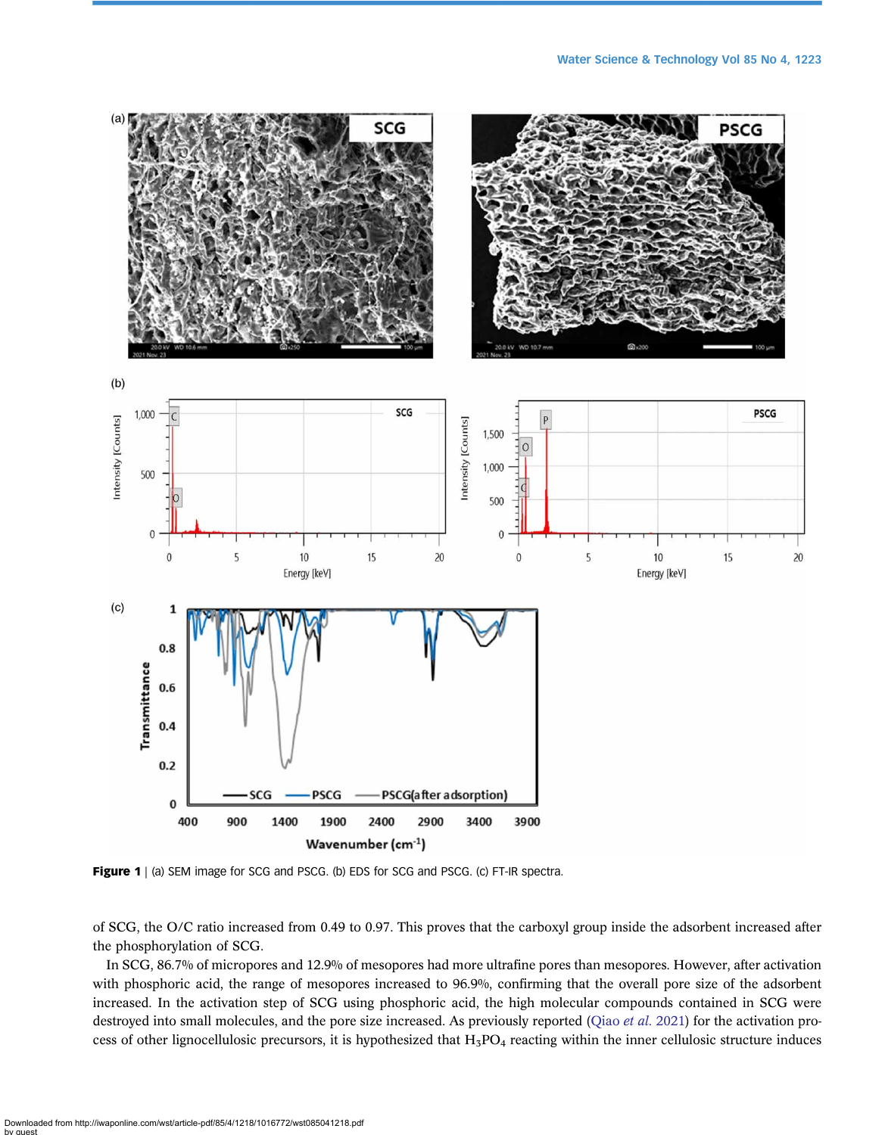<span id="page-5-0"></span>

Figure 1 | (a) SEM image for SCG and PSCG. (b) EDS for SCG and PSCG. (c) FT-IR spectra.

of SCG, the O/C ratio increased from 0.49 to 0.97. This proves that the carboxyl group inside the adsorbent increased after the phosphorylation of SCG.

In SCG, 86.7% of micropores and 12.9% of mesopores had more ultrafine pores than mesopores. However, after activation with phosphoric acid, the range of mesopores increased to 96.9%, confirming that the overall pore size of the adsorbent increased. In the activation step of SCG using phosphoric acid, the high molecular compounds contained in SCG were destroyed into small molecules, and the pore size increased. As previously reported [\(Qiao](#page-16-0) *et al.* 2021) for the activation process of other lignocellulosic precursors, it is hypothesized that  $H_3PO_4$  reacting within the inner cellulosic structure induces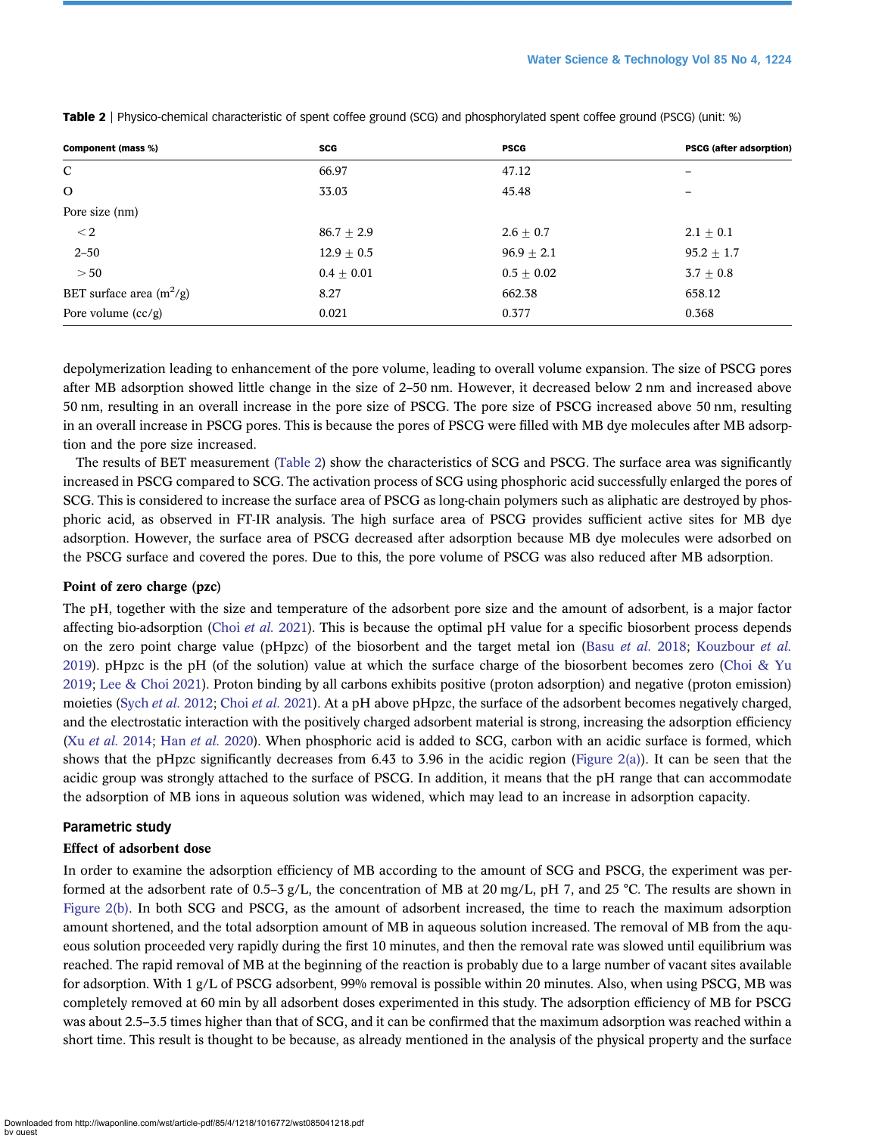| Component (mass %)         | <b>SCG</b>   | <b>PSCG</b>   | PSCG (after adsorption) |
|----------------------------|--------------|---------------|-------------------------|
| $\mathbf C$                | 66.97        | 47.12         | -                       |
| $\Omega$                   | 33.03        | 45.48         | -                       |
| Pore size (nm)             |              |               |                         |
| $<$ 2                      | $86.7 + 2.9$ | $2.6 \pm 0.7$ | $2.1 \pm 0.1$           |
| $2 - 50$                   | $12.9 + 0.5$ | $96.9 + 2.1$  | $95.2 + 1.7$            |
| >50                        | $0.4 + 0.01$ | $0.5 + 0.02$  | $3.7 \pm 0.8$           |
| BET surface area $(m^2/g)$ | 8.27         | 662.38        | 658.12                  |
| Pore volume $(cc/g)$       | 0.021        | 0.377         | 0.368                   |

<span id="page-6-0"></span>Table 2 | Physico-chemical characteristic of spent coffee ground (SCG) and phosphorylated spent coffee ground (PSCG) (unit: %)

depolymerization leading to enhancement of the pore volume, leading to overall volume expansion. The size of PSCG pores after MB adsorption showed little change in the size of 2–50 nm. However, it decreased below 2 nm and increased above 50 nm, resulting in an overall increase in the pore size of PSCG. The pore size of PSCG increased above 50 nm, resulting in an overall increase in PSCG pores. This is because the pores of PSCG were filled with MB dye molecules after MB adsorption and the pore size increased.

The results of BET measurement (Table 2) show the characteristics of SCG and PSCG. The surface area was significantly increased in PSCG compared to SCG. The activation process of SCG using phosphoric acid successfully enlarged the pores of SCG. This is considered to increase the surface area of PSCG as long-chain polymers such as aliphatic are destroyed by phosphoric acid, as observed in FT-IR analysis. The high surface area of PSCG provides sufficient active sites for MB dye adsorption. However, the surface area of PSCG decreased after adsorption because MB dye molecules were adsorbed on the PSCG surface and covered the pores. Due to this, the pore volume of PSCG was also reduced after MB adsorption.

# Point of zero charge (pzc)

The pH, together with the size and temperature of the adsorbent pore size and the amount of adsorbent, is a major factor affecting bio-adsorption (Choi [et al.](#page-15-0) 2021). This is because the optimal pH value for a specific biosorbent process depends on the zero point charge value (pHpzc) of the biosorbent and the target metal ion (Basu *[et al.](#page-15-0)* 2018; [Kouzbour](#page-15-0) *et al.* [2019](#page-15-0)). pHpzc is the pH (of the solution) value at which the surface charge of the biosorbent becomes zero ([Choi & Yu](#page-15-0) [2019](#page-15-0); [Lee & Choi 2021](#page-15-0)). Proton binding by all carbons exhibits positive (proton adsorption) and negative (proton emission) moieties (Sych *et al.* [2012;](#page-16-0) Choi *et al.* [2021\)](#page-15-0). At a pH above pHpzc, the surface of the adsorbent becomes negatively charged, and the electrostatic interaction with the positively charged adsorbent material is strong, increasing the adsorption efficiency (Xu et al. [2014;](#page-16-0) Han et al. [2020\)](#page-15-0). When phosphoric acid is added to SCG, carbon with an acidic surface is formed, which shows that the pHpzc significantly decreases from 6.43 to 3.96 in the acidic region ([Figure 2\(a\)\)](#page-7-0). It can be seen that the acidic group was strongly attached to the surface of PSCG. In addition, it means that the pH range that can accommodate the adsorption of MB ions in aqueous solution was widened, which may lead to an increase in adsorption capacity.

# Parametric study

#### Effect of adsorbent dose

In order to examine the adsorption efficiency of MB according to the amount of SCG and PSCG, the experiment was performed at the adsorbent rate of 0.5–3 g/L, the concentration of MB at 20 mg/L, pH 7, and 25 °C. The results are shown in [Figure 2\(b\).](#page-7-0) In both SCG and PSCG, as the amount of adsorbent increased, the time to reach the maximum adsorption amount shortened, and the total adsorption amount of MB in aqueous solution increased. The removal of MB from the aqueous solution proceeded very rapidly during the first 10 minutes, and then the removal rate was slowed until equilibrium was reached. The rapid removal of MB at the beginning of the reaction is probably due to a large number of vacant sites available for adsorption. With 1 g/L of PSCG adsorbent, 99% removal is possible within 20 minutes. Also, when using PSCG, MB was completely removed at 60 min by all adsorbent doses experimented in this study. The adsorption efficiency of MB for PSCG was about 2.5–3.5 times higher than that of SCG, and it can be confirmed that the maximum adsorption was reached within a short time. This result is thought to be because, as already mentioned in the analysis of the physical property and the surface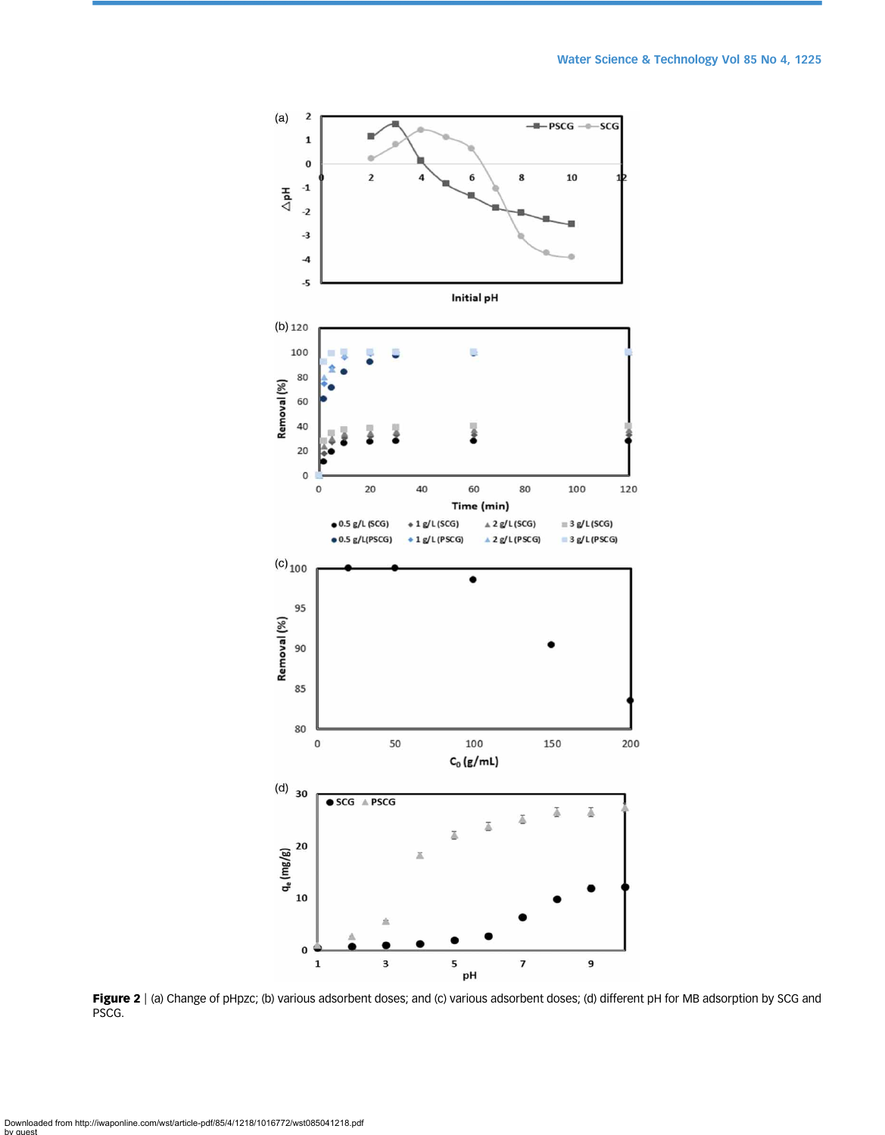<span id="page-7-0"></span>

Figure 2 | (a) Change of pHpzc; (b) various adsorbent doses; and (c) various adsorbent doses; (d) different pH for MB adsorption by SCG and PSCG.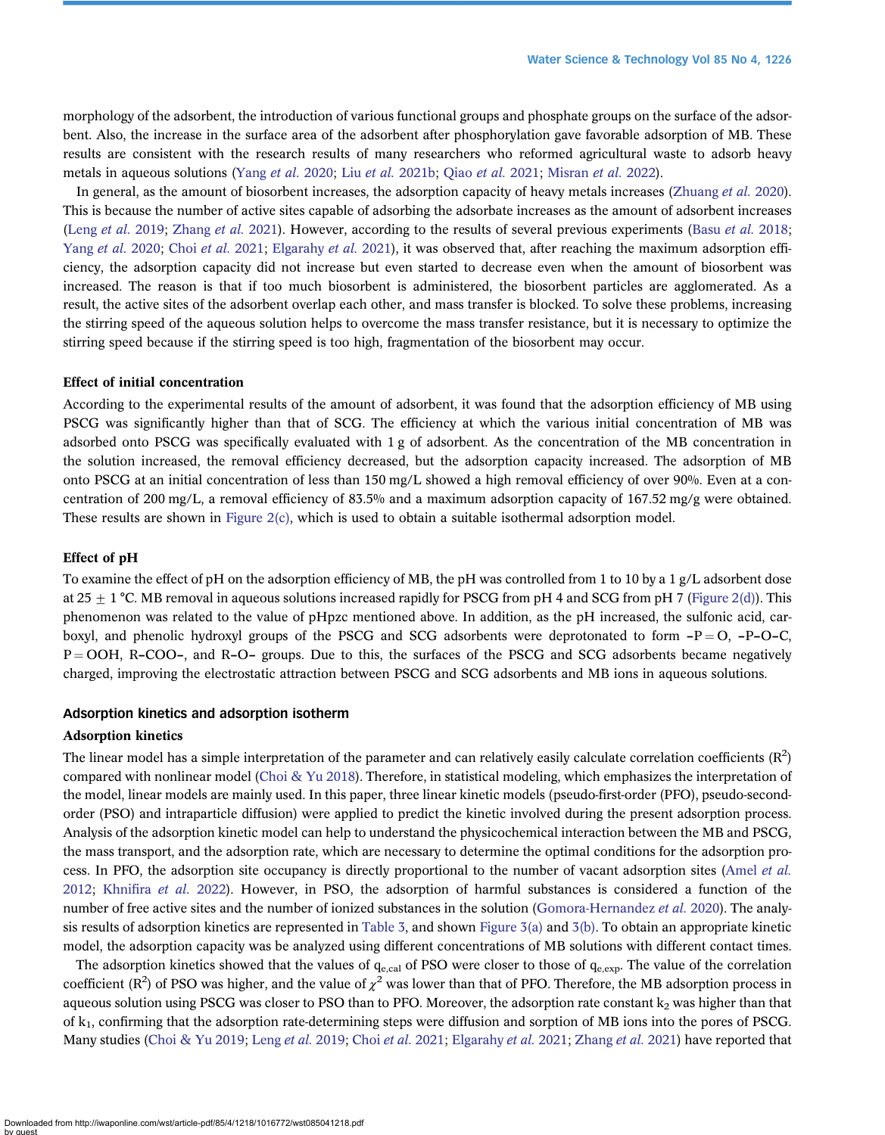morphology of the adsorbent, the introduction of various functional groups and phosphate groups on the surface of the adsorbent. Also, the increase in the surface area of the adsorbent after phosphorylation gave favorable adsorption of MB. These results are consistent with the research results of many researchers who reformed agricultural waste to adsorb heavy metals in aqueous solutions ([Yang](#page-16-0) et al. 2020; Liu et al. [2021b;](#page-16-0) Qiao et al. [2021;](#page-16-0) [Misran](#page-16-0) et al. 2022).

In general, as the amount of biosorbent increases, the adsorption capacity of heavy metals increases ([Zhuang](#page-16-0) et al. 2020). This is because the number of active sites capable of adsorbing the adsorbate increases as the amount of adsorbent increases (Leng [et al.](#page-15-0) 2019; [Zhang](#page-16-0) et al. 2021). However, according to the results of several previous experiments (Basu et al. 2018; [Yang](#page-16-0) et al. 2020; Choi et al. [2021;](#page-15-0) [Elgarahy](#page-15-0) et al. 2021), it was observed that, after reaching the maximum adsorption efficiency, the adsorption capacity did not increase but even started to decrease even when the amount of biosorbent was increased. The reason is that if too much biosorbent is administered, the biosorbent particles are agglomerated. As a result, the active sites of the adsorbent overlap each other, and mass transfer is blocked. To solve these problems, increasing the stirring speed of the aqueous solution helps to overcome the mass transfer resistance, but it is necessary to optimize the stirring speed because if the stirring speed is too high, fragmentation of the biosorbent may occur.

#### Effect of initial concentration

According to the experimental results of the amount of adsorbent, it was found that the adsorption efficiency of MB using PSCG was significantly higher than that of SCG. The efficiency at which the various initial concentration of MB was adsorbed onto PSCG was specifically evaluated with 1 g of adsorbent. As the concentration of the MB concentration in the solution increased, the removal efficiency decreased, but the adsorption capacity increased. The adsorption of MB onto PSCG at an initial concentration of less than 150 mg/L showed a high removal efficiency of over 90%. Even at a concentration of 200 mg/L, a removal efficiency of 83.5% and a maximum adsorption capacity of 167.52 mg/g were obtained. These results are shown in [Figure 2\(c\),](#page-7-0) which is used to obtain a suitable isothermal adsorption model.

#### Effect of pH

To examine the effect of pH on the adsorption efficiency of MB, the pH was controlled from 1 to 10 by a 1 g/L adsorbent dose at  $25 \pm 1$  °C. MB removal in aqueous solutions increased rapidly for PSCG from pH 4 and SCG from pH 7 [\(Figure 2\(d\)](#page-7-0)). This phenomenon was related to the value of pHpzc mentioned above. In addition, as the pH increased, the sulfonic acid, carboxyl, and phenolic hydroxyl groups of the PSCG and SCG adsorbents were deprotonated to form  $-P = O$ ,  $-P-O-C$ ,  $P = OOH$ , R–COO–, and R–O– groups. Due to this, the surfaces of the PSCG and SCG adsorbents became negatively charged, improving the electrostatic attraction between PSCG and SCG adsorbents and MB ions in aqueous solutions.

#### Adsorption kinetics and adsorption isotherm

# Adsorption kinetics

The linear model has a simple interpretation of the parameter and can relatively easily calculate correlation coefficients  $(R^2)$ compared with nonlinear model ([Choi & Yu 2018\)](#page-15-0). Therefore, in statistical modeling, which emphasizes the interpretation of the model, linear models are mainly used. In this paper, three linear kinetic models (pseudo-first-order (PFO), pseudo-secondorder (PSO) and intraparticle diffusion) were applied to predict the kinetic involved during the present adsorption process. Analysis of the adsorption kinetic model can help to understand the physicochemical interaction between the MB and PSCG, the mass transport, and the adsorption rate, which are necessary to determine the optimal conditions for the adsorption process. In PFO, the adsorption site occupancy is directly proportional to the number of vacant adsorption sites ([Amel](#page-15-0) et al. [2012](#page-15-0); Khnifira [et al.](#page-15-0) 2022). However, in PSO, the adsorption of harmful substances is considered a function of the number of free active sites and the number of ionized substances in the solution ([Gomora-Hernandez](#page-15-0) et al. 2020). The analysis results of adsorption kinetics are represented in [Table 3](#page-9-0), and shown [Figure 3\(a\)](#page-10-0) and [3\(b\)](#page-10-0). To obtain an appropriate kinetic model, the adsorption capacity was be analyzed using different concentrations of MB solutions with different contact times.

The adsorption kinetics showed that the values of  $q_{e,cal}$  of PSO were closer to those of  $q_{e,exp}$ . The value of the correlation coefficient ( $\mathbb{R}^2$ ) of PSO was higher, and the value of  $\chi^2$  was lower than that of PFO. Therefore, the MB adsorption process in aqueous solution using PSCG was closer to PSO than to PFO. Moreover, the adsorption rate constant  $k_2$  was higher than that of  $k_1$ , confirming that the adsorption rate-determining steps were diffusion and sorption of MB ions into the pores of PSCG. Many studies [\(Choi & Yu 2019](#page-15-0); [Leng](#page-15-0) et al. 2019; Choi et al. [2021](#page-15-0); [Elgarahy](#page-15-0) et al. 2021; [Zhang](#page-16-0) et al. 2021) have reported that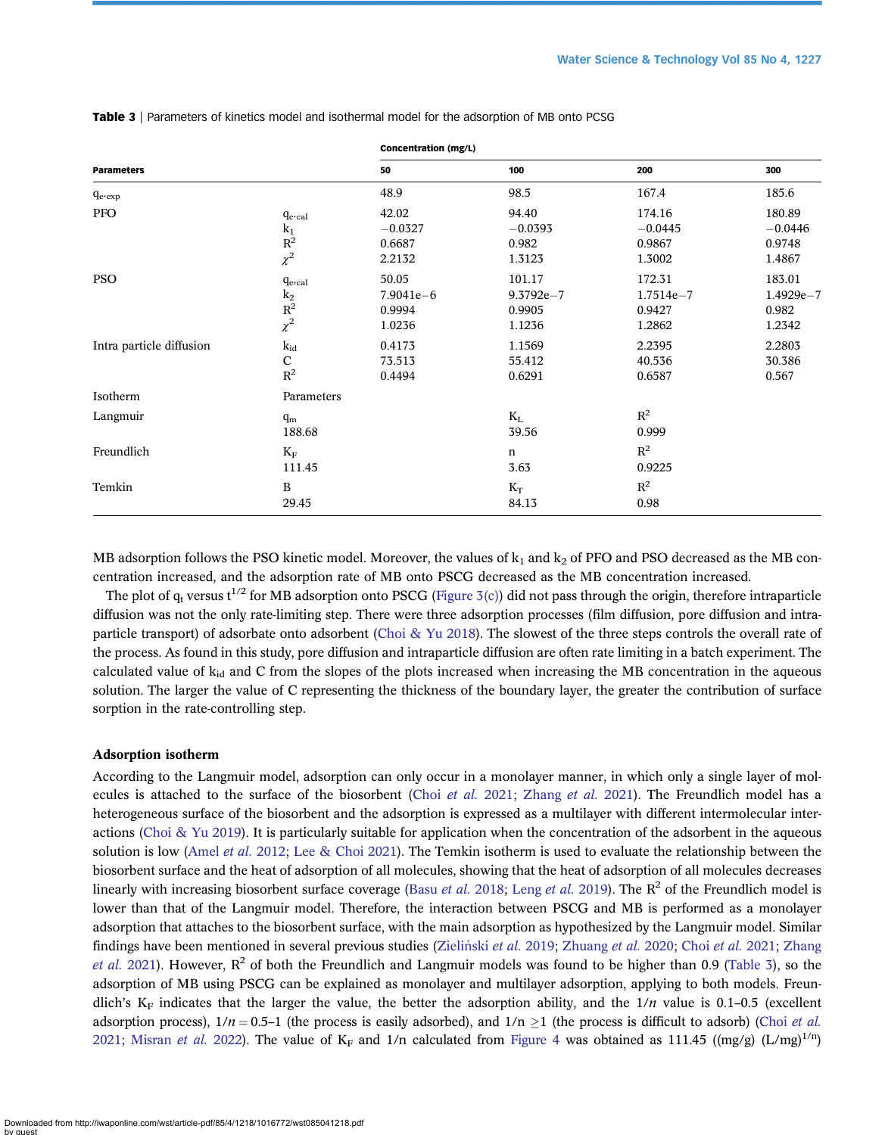|                          |                                                                   | Concentration (mg/L)                       |                                             |                                             |                                            |
|--------------------------|-------------------------------------------------------------------|--------------------------------------------|---------------------------------------------|---------------------------------------------|--------------------------------------------|
| <b>Parameters</b>        |                                                                   | 50                                         | 100                                         | 200                                         | 300                                        |
| $q_{e\text{-}exp}$       |                                                                   | 48.9                                       | 98.5                                        | 167.4                                       | 185.6                                      |
| <b>PFO</b>               | $q_{e\text{-cal}}$<br>$k_1$<br>$R^2$<br>$\chi^2$                  | 42.02<br>$-0.0327$<br>0.6687<br>2.2132     | 94.40<br>$-0.0393$<br>0.982<br>1.3123       | 174.16<br>$-0.0445$<br>0.9867<br>1.3002     | 180.89<br>$-0.0446$<br>0.9748<br>1.4867    |
| <b>PSO</b>               | $q_{e,cal}$<br>$\begin{matrix} k_2 \\ R^2 \\ \chi^2 \end{matrix}$ | 50.05<br>$7.9041e - 6$<br>0.9994<br>1.0236 | 101.17<br>$9.3792e - 7$<br>0.9905<br>1.1236 | 172.31<br>$1.7514e - 7$<br>0.9427<br>1.2862 | 183.01<br>$1.4929e - 7$<br>0.982<br>1.2342 |
| Intra particle diffusion | $k_{id}$<br>$\mathbf C$<br>$R^2$                                  | 0.4173<br>73.513<br>0.4494                 | 1.1569<br>55.412<br>0.6291                  | 2.2395<br>40.536<br>0.6587                  | 2.2803<br>30.386<br>0.567                  |
| Isotherm                 | Parameters                                                        |                                            |                                             |                                             |                                            |
| Langmuir                 | $q_m$<br>188.68                                                   |                                            | $K_{L}$<br>39.56                            | $\mathbb{R}^2$<br>0.999                     |                                            |
| Freundlich               | $\rm K_F$<br>111.45                                               |                                            | n<br>3.63                                   | $\mathbf{R}^2$<br>0.9225                    |                                            |
| Temkin                   | B<br>29.45                                                        |                                            | $K_T$<br>84.13                              | $\mathbf{R}^2$<br>0.98                      |                                            |

<span id="page-9-0"></span>Table 3 | Parameters of kinetics model and isothermal model for the adsorption of MB onto PCSG

MB adsorption follows the PSO kinetic model. Moreover, the values of  $k_1$  and  $k_2$  of PFO and PSO decreased as the MB concentration increased, and the adsorption rate of MB onto PSCG decreased as the MB concentration increased.

The plot of  $q_t$  versus  $t^{1/2}$  for MB adsorption onto PSCG [\(Figure 3\(c\)\)](#page-10-0) did not pass through the origin, therefore intraparticle diffusion was not the only rate-limiting step. There were three adsorption processes (film diffusion, pore diffusion and intraparticle transport) of adsorbate onto adsorbent [\(Choi & Yu 2018\)](#page-15-0). The slowest of the three steps controls the overall rate of the process. As found in this study, pore diffusion and intraparticle diffusion are often rate limiting in a batch experiment. The calculated value of  $k_{id}$  and C from the slopes of the plots increased when increasing the MB concentration in the aqueous solution. The larger the value of C representing the thickness of the boundary layer, the greater the contribution of surface sorption in the rate-controlling step.

#### Adsorption isotherm

According to the Langmuir model, adsorption can only occur in a monolayer manner, in which only a single layer of molecules is attached to the surface of the biosorbent (Choi [et al.](#page-15-0) 2021; [Zhang](#page-16-0) et al. 2021). The Freundlich model has a heterogeneous surface of the biosorbent and the adsorption is expressed as a multilayer with different intermolecular inter-actions ([Choi & Yu 2019](#page-15-0)). It is particularly suitable for application when the concentration of the adsorbent in the aqueous solution is low [\(Amel](#page-15-0) et al. 2012; [Lee & Choi 2021](#page-15-0)). The Temkin isotherm is used to evaluate the relationship between the biosorbent surface and the heat of adsorption of all molecules, showing that the heat of adsorption of all molecules decreases linearly with increasing biosorbent surface coverage (Basu *[et al.](#page-15-0)* 2018; Leng *et al.* [2019\)](#page-15-0). The  $R^2$  of the Freundlich model is lower than that of the Langmuir model. Therefore, the interaction between PSCG and MB is performed as a monolayer adsorption that attaches to the biosorbent surface, with the main adsorption as hypothesized by the Langmuir model. Similar findings have been mentioned in several previous studies (Zieliński et al. 2019; [Zhuang](#page-16-0) [et al.](#page-15-0) 2020; Choi et al. 2021; [Zhang](#page-16-0) [et al.](#page-16-0) 2021). However,  $R^2$  of both the Freundlich and Langmuir models was found to be higher than 0.9 (Table 3), so the adsorption of MB using PSCG can be explained as monolayer and multilayer adsorption, applying to both models. Freundlich's  $K_F$  indicates that the larger the value, the better the adsorption ability, and the  $1/n$  value is 0.1–0.5 (excellent adsorption process),  $1/n = 0.5-1$  (the process is easily adsorbed), and  $1/n \ge 1$  (the process is difficult to adsorb) (Choi *[et al.](#page-15-0)*) [2021;](#page-15-0) [Misran](#page-16-0) et al. 2022). The value of  $K_F$  and 1/n calculated from [Figure 4](#page-11-0) was obtained as 111.45 ((mg/g) (L/mg)<sup>1/n</sup>)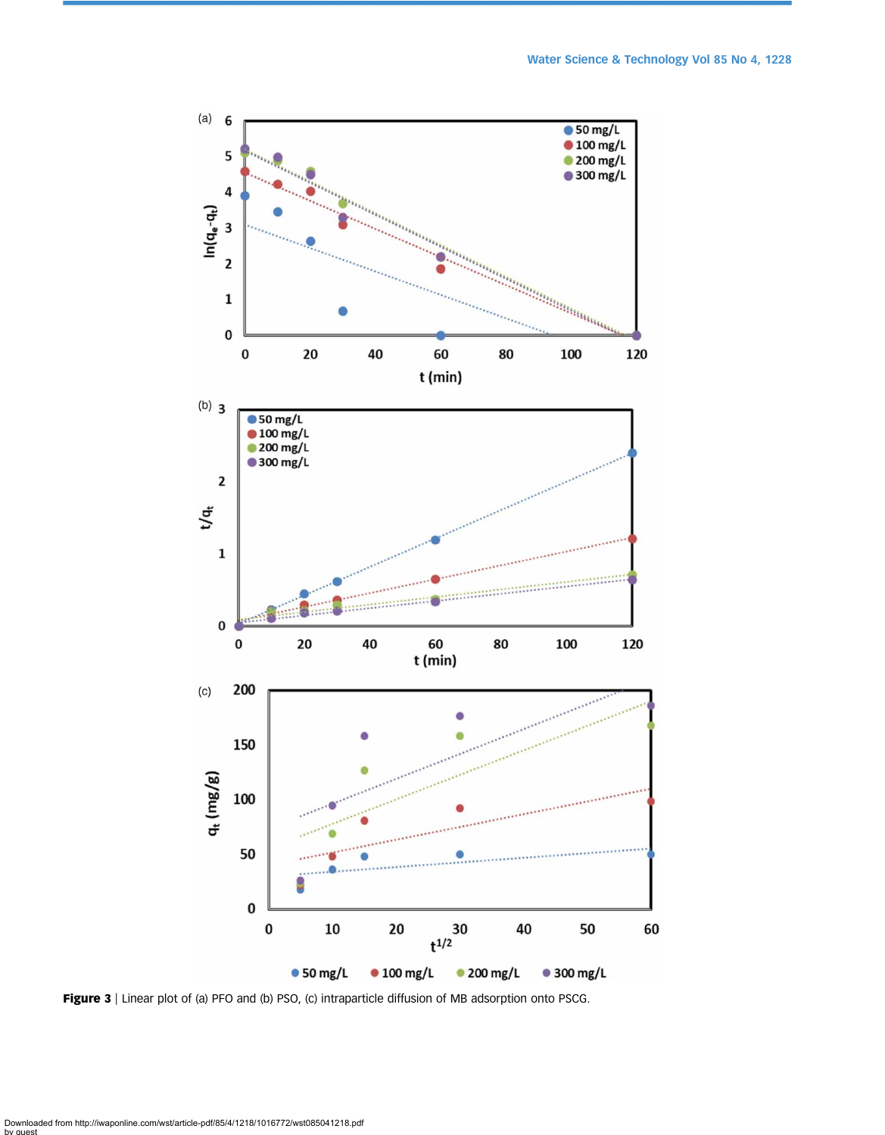<span id="page-10-0"></span>

Figure 3 | Linear plot of (a) PFO and (b) PSO, (c) intraparticle diffusion of MB adsorption onto PSCG.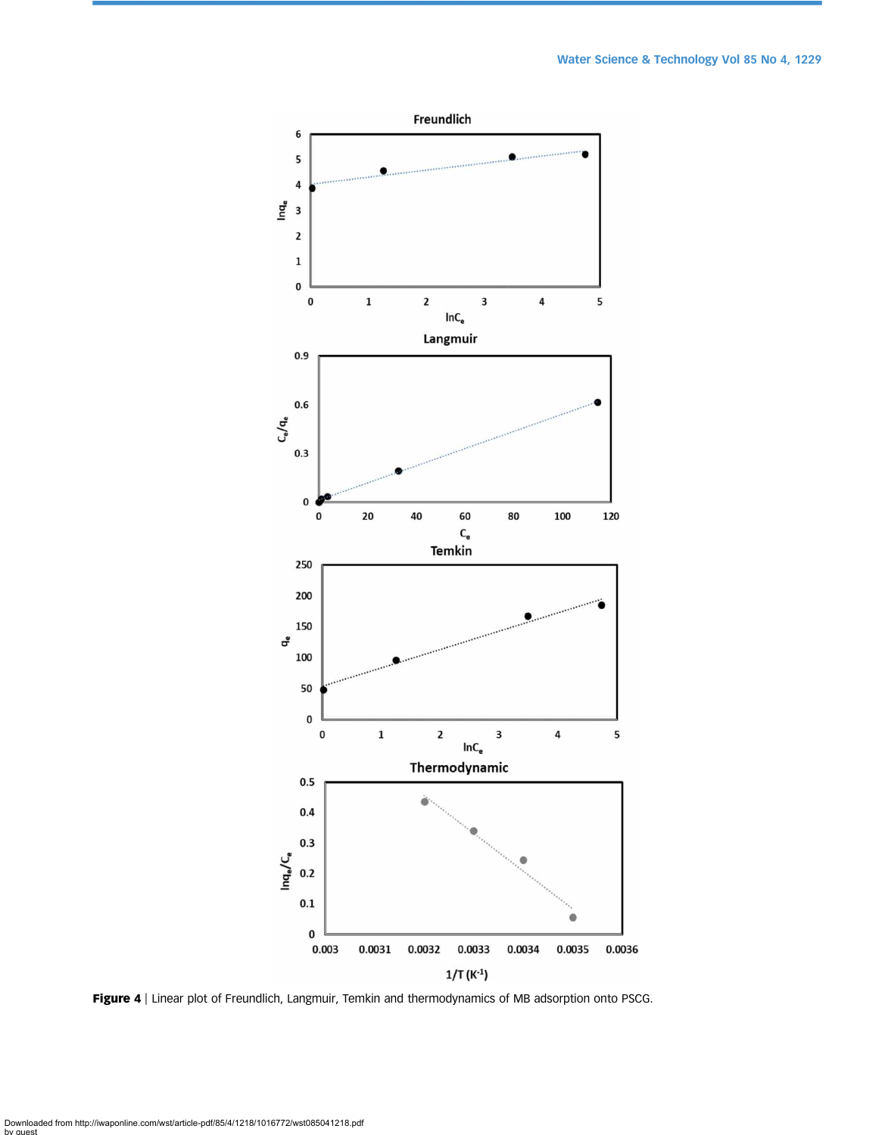<span id="page-11-0"></span>

Figure 4 | Linear plot of Freundlich, Langmuir, Temkin and thermodynamics of MB adsorption onto PSCG.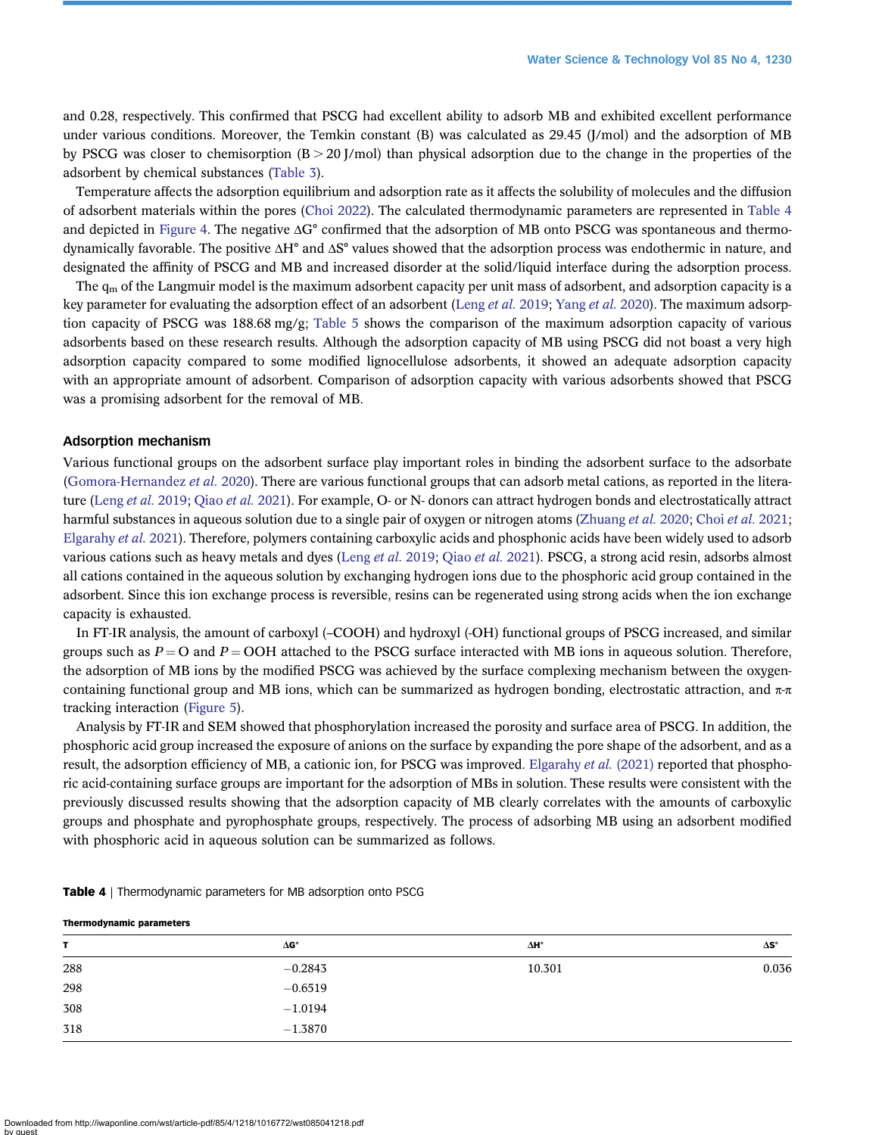and 0.28, respectively. This confirmed that PSCG had excellent ability to adsorb MB and exhibited excellent performance under various conditions. Moreover, the Temkin constant (B) was calculated as 29.45 (J/mol) and the adsorption of MB by PSCG was closer to chemisorption  $(B > 20$  J/mol) than physical adsorption due to the change in the properties of the adsorbent by chemical substances ([Table 3](#page-9-0)).

Temperature affects the adsorption equilibrium and adsorption rate as it affects the solubility of molecules and the diffusion of adsorbent materials within the pores [\(Choi 2022\)](#page-15-0). The calculated thermodynamic parameters are represented in Table 4 and depicted in [Figure 4.](#page-11-0) The negative ΔG° confirmed that the adsorption of MB onto PSCG was spontaneous and thermodynamically favorable. The positive ΔH° and ΔS° values showed that the adsorption process was endothermic in nature, and designated the affinity of PSCG and MB and increased disorder at the solid/liquid interface during the adsorption process.

The  $q_m$  of the Langmuir model is the maximum adsorbent capacity per unit mass of adsorbent, and adsorption capacity is a key parameter for evaluating the adsorption effect of an adsorbent ([Leng](#page-15-0) et al. 2019; [Yang](#page-16-0) et al. 2020). The maximum adsorption capacity of PSCG was 188.68 mg/g; [Table 5](#page-13-0) shows the comparison of the maximum adsorption capacity of various adsorbents based on these research results. Although the adsorption capacity of MB using PSCG did not boast a very high adsorption capacity compared to some modified lignocellulose adsorbents, it showed an adequate adsorption capacity with an appropriate amount of adsorbent. Comparison of adsorption capacity with various adsorbents showed that PSCG was a promising adsorbent for the removal of MB.

#### Adsorption mechanism

Various functional groups on the adsorbent surface play important roles in binding the adsorbent surface to the adsorbate ([Gomora-Hernandez](#page-15-0) et al. 2020). There are various functional groups that can adsorb metal cations, as reported in the litera-ture ([Leng](#page-15-0) et al. 2019; [Qiao](#page-16-0) et al. 2021). For example, O- or N- donors can attract hydrogen bonds and electrostatically attract harmful substances in aqueous solution due to a single pair of oxygen or nitrogen atoms ([Zhuang](#page-16-0) et al. 2020; Choi et al. [2021;](#page-15-0) [Elgarahy](#page-15-0) et al. 2021). Therefore, polymers containing carboxylic acids and phosphonic acids have been widely used to adsorb various cations such as heavy metals and dyes (Leng et al. [2019;](#page-15-0) [Qiao](#page-16-0) et al. 2021). PSCG, a strong acid resin, adsorbs almost all cations contained in the aqueous solution by exchanging hydrogen ions due to the phosphoric acid group contained in the adsorbent. Since this ion exchange process is reversible, resins can be regenerated using strong acids when the ion exchange capacity is exhausted.

In FT-IR analysis, the amount of carboxyl (–COOH) and hydroxyl (-OH) functional groups of PSCG increased, and similar groups such as  $P = O$  and  $P = OOH$  attached to the PSCG surface interacted with MB ions in aqueous solution. Therefore, the adsorption of MB ions by the modified PSCG was achieved by the surface complexing mechanism between the oxygencontaining functional group and MB ions, which can be summarized as hydrogen bonding, electrostatic attraction, and  $\pi$ - $\pi$ tracking interaction ([Figure 5](#page-13-0)).

Analysis by FT-IR and SEM showed that phosphorylation increased the porosity and surface area of PSCG. In addition, the phosphoric acid group increased the exposure of anions on the surface by expanding the pore shape of the adsorbent, and as a result, the adsorption efficiency of MB, a cationic ion, for PSCG was improved. [Elgarahy](#page-15-0) et al. (2021) reported that phosphoric acid-containing surface groups are important for the adsorption of MBs in solution. These results were consistent with the previously discussed results showing that the adsorption capacity of MB clearly correlates with the amounts of carboxylic groups and phosphate and pyrophosphate groups, respectively. The process of adsorbing MB using an adsorbent modified with phosphoric acid in aqueous solution can be summarized as follows.

| T   | $\Delta G^{\circ}$ | ΔH°    | $\Delta S^{\circ}$ |
|-----|--------------------|--------|--------------------|
| 288 | $-0.2843$          | 10.301 | 0.036              |
| 298 | $-0.6519$          |        |                    |
| 308 | $-1.0194$          |        |                    |
| 318 | $-1.3870$          |        |                    |

**Table 4** | Thermodynamic parameters for MB adsorption onto PSCG

Thermodynamic parameters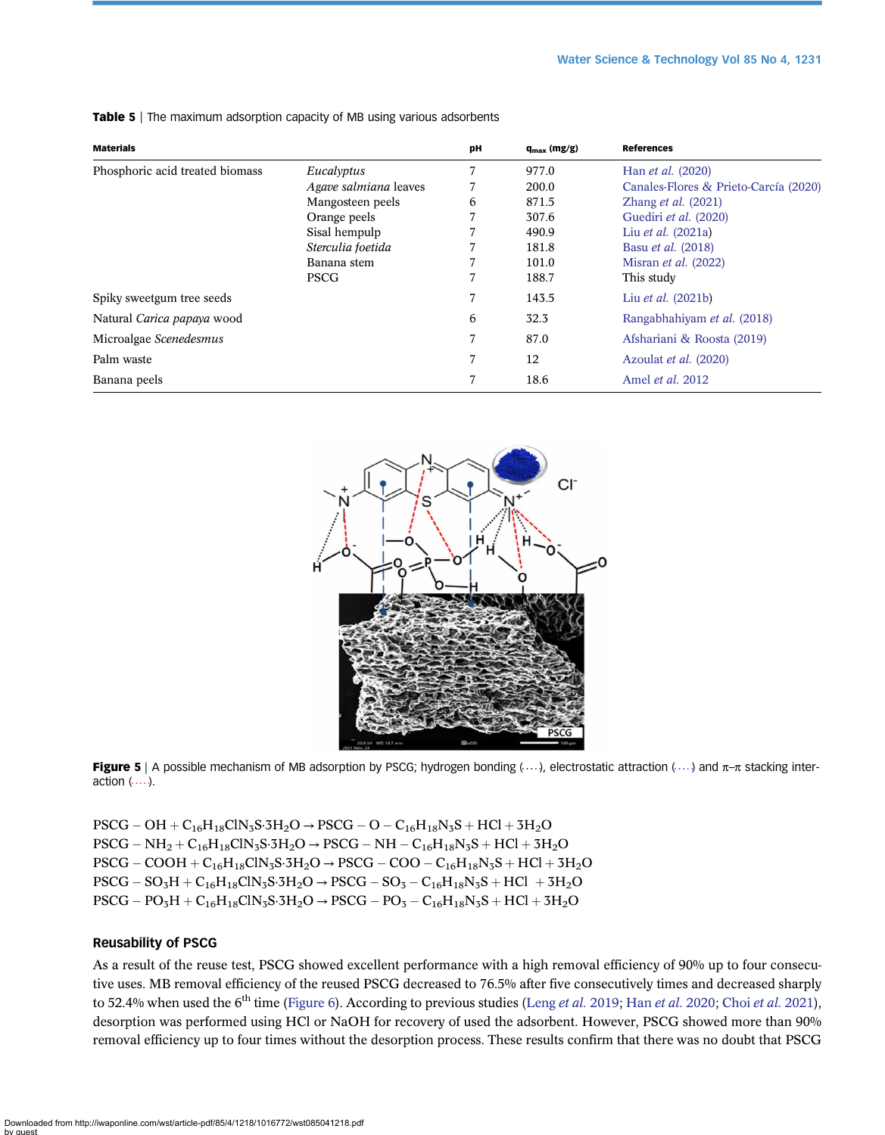| <b>Materials</b>                |                       | pH | $q_{max}$ (mg/g) | <b>References</b>                     |
|---------------------------------|-----------------------|----|------------------|---------------------------------------|
| Phosphoric acid treated biomass | Eucalyptus            |    | 977.0            | Han <i>et al.</i> (2020)              |
|                                 | Agave salmiana leaves |    | 200.0            | Canales-Flores & Prieto-Carcía (2020) |
|                                 | Mangosteen peels      | 6  | 871.5            | Zhang <i>et al.</i> $(2021)$          |
|                                 | Orange peels          |    | 307.6            | Guediri et al. (2020)                 |
|                                 | Sisal hempulp         |    | 490.9            | Liu <i>et al.</i> (2021a)             |
|                                 | Sterculia foetida     |    | 181.8            | Basu <i>et al.</i> (2018)             |
|                                 | Banana stem           |    | 101.0            | Misran <i>et al.</i> (2022)           |
|                                 | <b>PSCG</b>           |    | 188.7            | This study                            |
| Spiky sweetgum tree seeds       |                       |    | 143.5            | Liu <i>et al.</i> (2021b)             |
| Natural Carica papaya wood      |                       | 6  | 32.3             | Rangabhahiyam et al. (2018)           |
| Microalgae Scenedesmus          |                       |    | 87.0             | Afshariani & Roosta (2019)            |
| Palm waste                      |                       |    | 12               | Azoulat et al. (2020)                 |
| Banana peels                    |                       |    | 18.6             | Amel <i>et al.</i> 2012               |

<span id="page-13-0"></span>Table 5 | The maximum adsorption capacity of MB using various adsorbents



Figure 5 | A possible mechanism of MB adsorption by PSCG; hydrogen bonding ( $...,$ ), electrostatic attraction ( $...$ ) and  $\pi$ - $\pi$  stacking interaction  $( \ldots )$ .

 $\mathrm{PSCG}-\mathrm{OH}+\mathrm{C_{16}H_{18}ClN_3S\cdot}$ 3H<sub>2</sub>O → PSCG – O – C<sub>16</sub>H<sub>18</sub>N<sub>3</sub>S + HCl + 3H<sub>2</sub>O  $PSCG - NH_2 + C_{16}H_{18}CN_3S \cdot 3H_2O \rightarrow PSCG - NH - C_{16}H_{18}N_3S + HCl + 3H_2O$  $\text{PSCG} - \text{COOH} + \text{C}_{16}\text{H}_{18}\text{CIN}_3\text{S}\cdot\text{3H}_2\text{O} \rightarrow \text{PSCG} - \text{COO} - \text{C}_{16}\text{H}_{18}\text{N}_3\text{S} + \text{HCl} + \text{3H}_2\text{O}$  $PSCG - SO_3H + C_{16}H_{18}CIN_3S \cdot 3H_2O \rightarrow PSCG - SO_3 - C_{16}H_{18}N_3S + HCl + 3H_2O$  $PSCG - PO_3H + C_{16}H_{18}CIN_3S \cdot 3H_2O \rightarrow PSCG - PO_3 - C_{16}H_{18}N_3S + HCl + 3H_2O$ 

#### Reusability of PSCG

As a result of the reuse test, PSCG showed excellent performance with a high removal efficiency of 90% up to four consecutive uses. MB removal efficiency of the reused PSCG decreased to 76.5% after five consecutively times and decreased sharply to 52.4% when used the 6<sup>th</sup> time [\(Figure 6\)](#page-14-0). According to previous studies ([Leng](#page-15-0) et al. 2019; Han et al. [2020;](#page-15-0) Choi et al. [2021\)](#page-15-0), desorption was performed using HCl or NaOH for recovery of used the adsorbent. However, PSCG showed more than 90% removal efficiency up to four times without the desorption process. These results confirm that there was no doubt that PSCG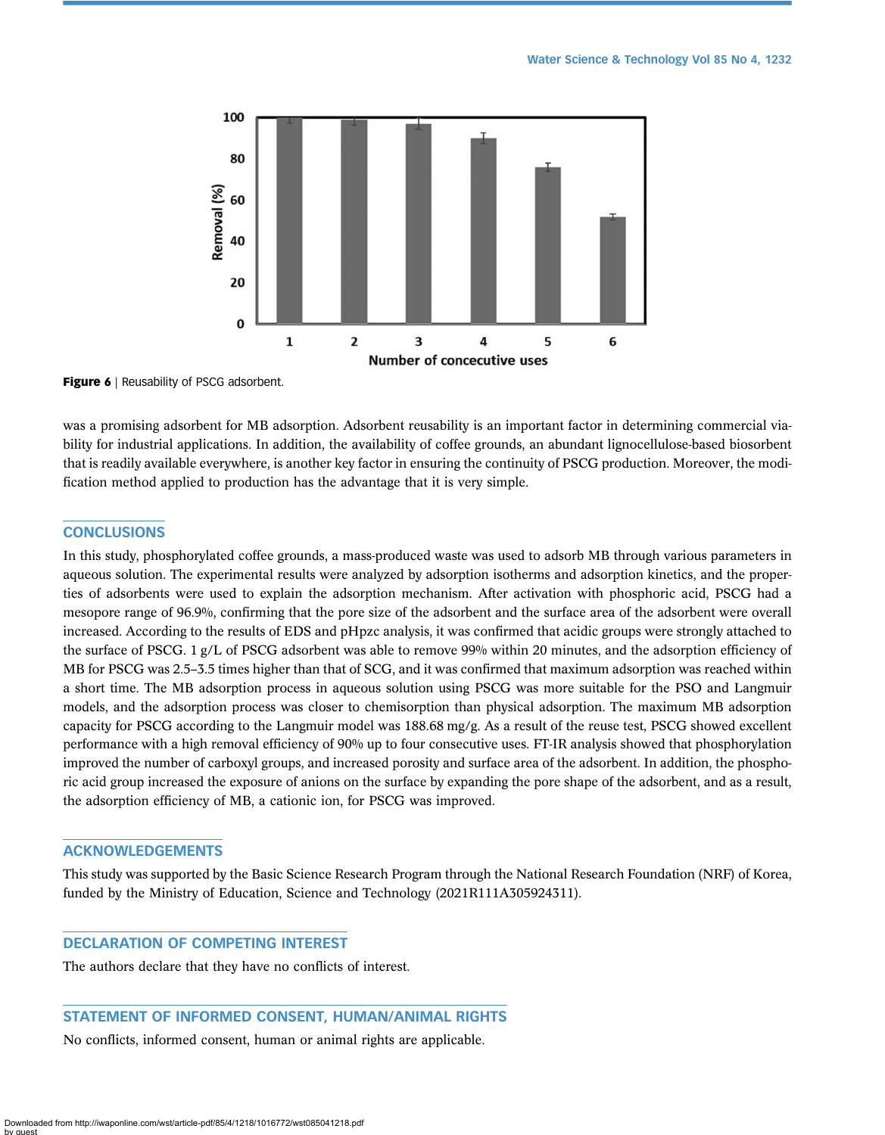<span id="page-14-0"></span>

Figure 6 | Reusability of PSCG adsorbent.

was a promising adsorbent for MB adsorption. Adsorbent reusability is an important factor in determining commercial viability for industrial applications. In addition, the availability of coffee grounds, an abundant lignocellulose-based biosorbent that is readily available everywhere, is another key factor in ensuring the continuity of PSCG production. Moreover, the modification method applied to production has the advantage that it is very simple.

# **CONCLUSIONS**

In this study, phosphorylated coffee grounds, a mass-produced waste was used to adsorb MB through various parameters in aqueous solution. The experimental results were analyzed by adsorption isotherms and adsorption kinetics, and the properties of adsorbents were used to explain the adsorption mechanism. After activation with phosphoric acid, PSCG had a mesopore range of 96.9%, confirming that the pore size of the adsorbent and the surface area of the adsorbent were overall increased. According to the results of EDS and pHpzc analysis, it was confirmed that acidic groups were strongly attached to the surface of PSCG. 1 g/L of PSCG adsorbent was able to remove 99% within 20 minutes, and the adsorption efficiency of MB for PSCG was 2.5–3.5 times higher than that of SCG, and it was confirmed that maximum adsorption was reached within a short time. The MB adsorption process in aqueous solution using PSCG was more suitable for the PSO and Langmuir models, and the adsorption process was closer to chemisorption than physical adsorption. The maximum MB adsorption capacity for PSCG according to the Langmuir model was 188.68 mg/g. As a result of the reuse test, PSCG showed excellent performance with a high removal efficiency of 90% up to four consecutive uses. FT-IR analysis showed that phosphorylation improved the number of carboxyl groups, and increased porosity and surface area of the adsorbent. In addition, the phosphoric acid group increased the exposure of anions on the surface by expanding the pore shape of the adsorbent, and as a result, the adsorption efficiency of MB, a cationic ion, for PSCG was improved.

# ACKNOWLEDGEMENTS

This study was supported by the Basic Science Research Program through the National Research Foundation (NRF) of Korea, funded by the Ministry of Education, Science and Technology (2021R111A305924311).

# DECLARATION OF COMPETING INTEREST

The authors declare that they have no conflicts of interest.

# STATEMENT OF INFORMED CONSENT, HUMAN/ANIMAL RIGHTS

No conflicts, informed consent, human or animal rights are applicable.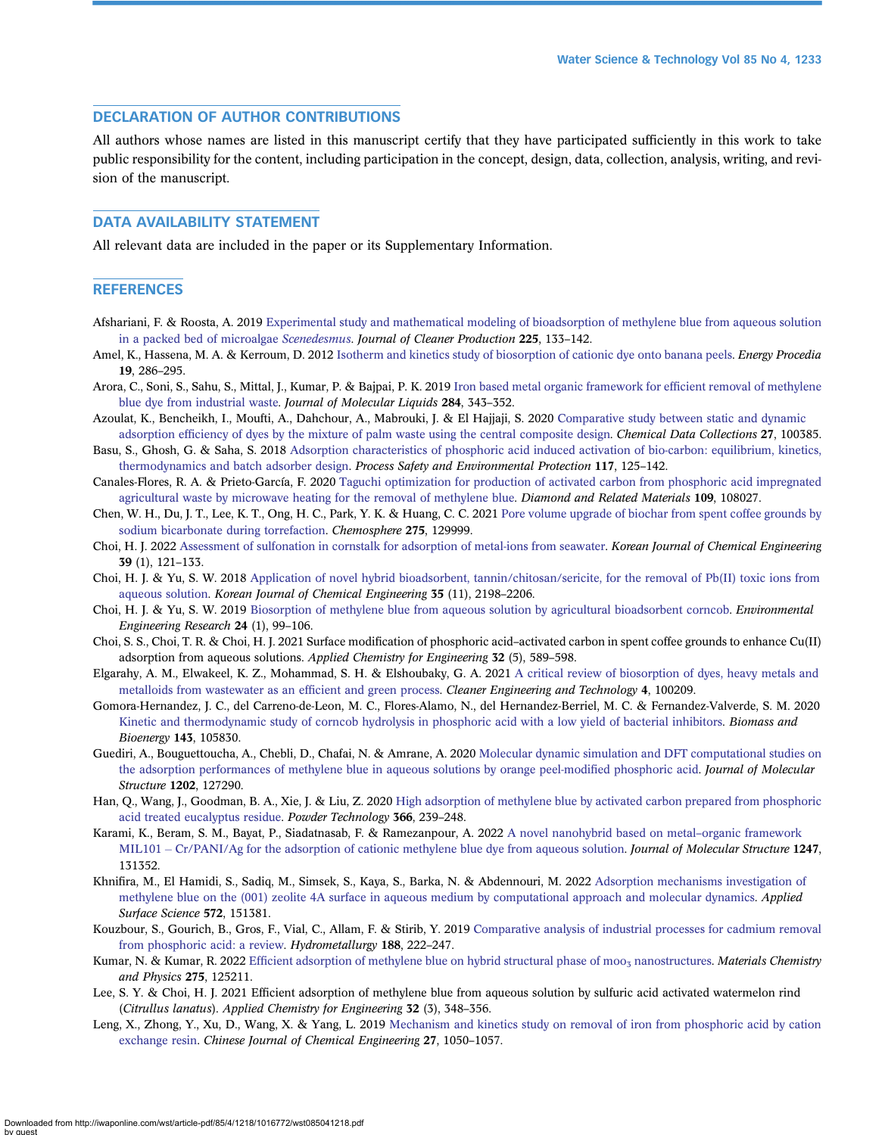# <span id="page-15-0"></span>DECLARATION OF AUTHOR CONTRIBUTIONS

All authors whose names are listed in this manuscript certify that they have participated sufficiently in this work to take public responsibility for the content, including participation in the concept, design, data, collection, analysis, writing, and revision of the manuscript.

# DATA AVAILABILITY STATEMENT

All relevant data are included in the paper or its Supplementary Information.

#### **REFERENCES**

- Afshariani, F. & Roosta, A. 2019 [Experimental study and mathematical modeling of bioadsorption of methylene blue from aqueous solution](http://dx.doi.org/10.1016/j.jclepro.2019.03.275) [in a packed bed of microalgae](http://dx.doi.org/10.1016/j.jclepro.2019.03.275) Scenedesmus. Journal of Cleaner Production 225, 133–142.
- Amel, K., Hassena, M. A. & Kerroum, D. 2012 [Isotherm and kinetics study of biosorption of cationic dye onto banana peels](http://dx.doi.org/10.1016/j.egypro.2012.05.208). Energy Procedia 19, 286–295.
- Arora, C., Soni, S., Sahu, S., Mittal, J., Kumar, P. & Bajpai, P. K. 2019 [Iron based metal organic framework for ef](http://dx.doi.org/10.1016/j.molliq.2019.04.012)ficient removal of methylene [blue dye from industrial waste.](http://dx.doi.org/10.1016/j.molliq.2019.04.012) Journal of Molecular Liquids 284, 343–352.
- Azoulat, K., Bencheikh, I., Moufti, A., Dahchour, A., Mabrouki, J. & El Hajjaji, S. 2020 [Comparative study between static and dynamic](http://dx.doi.org/10.1016/j.cdc.2020.100385)
- adsorption effi[ciency of dyes by the mixture of palm waste using the central composite design](http://dx.doi.org/10.1016/j.cdc.2020.100385). Chemical Data Collections 27, 100385. Basu, S., Ghosh, G. & Saha, S. 2018 [Adsorption characteristics of phosphoric acid induced activation of bio-carbon: equilibrium, kinetics,](http://dx.doi.org/10.1016/j.psep.2018.04.015) [thermodynamics and batch adsorber design](http://dx.doi.org/10.1016/j.psep.2018.04.015). Process Safety and Environmental Protection 117, 125-142.
- Canales-Flores, R. A. & Prieto-García, F. 2020 [Taguchi optimization for production of activated carbon from phosphoric acid impregnated](http://dx.doi.org/10.1016/j.diamond.2020.108027) [agricultural waste by microwave heating for the removal of methylene blue](http://dx.doi.org/10.1016/j.diamond.2020.108027). Diamond and Related Materials 109, 108027.
- Chen, W. H., Du, J. T., Lee, K. T., Ong, H. C., Park, Y. K. & Huang, C. C. 2021 [Pore volume upgrade of biochar from spent coffee grounds by](http://dx.doi.org/10.1016/j.chemosphere.2021.129999) [sodium bicarbonate during torrefaction](http://dx.doi.org/10.1016/j.chemosphere.2021.129999). Chemosphere 275, 129999.
- Choi, H. J. 2022 [Assessment of sulfonation in cornstalk for adsorption of metal-ions from seawater.](http://dx.doi.org/10.1007/s11814-021-0949-3) Korean Journal of Chemical Engineering 39 (1), 121–133.
- Choi, H. J. & Yu, S. W. 2018 [Application of novel hybrid bioadsorbent, tannin/chitosan/sericite, for the removal of Pb\(II\) toxic ions from](http://dx.doi.org/10.1007/s11814-018-0140-7) [aqueous solution](http://dx.doi.org/10.1007/s11814-018-0140-7). Korean Journal of Chemical Engineering 35 (11), 2198–2206.
- Choi, H. J. & Yu, S. W. 2019 [Biosorption of methylene blue from aqueous solution by agricultural bioadsorbent corncob](http://dx.doi.org/10.4491/eer.2018.107). Environmental Engineering Research 24 (1), 99–106.
- Choi, S. S., Choi, T. R. & Choi, H. J. 2021 Surface modification of phosphoric acid–activated carbon in spent coffee grounds to enhance Cu(II) adsorption from aqueous solutions. Applied Chemistry for Engineering 32 (5), 589–598.
- Elgarahy, A. M., Elwakeel, K. Z., Mohammad, S. H. & Elshoubaky, G. A. 2021 [A critical review of biosorption of dyes, heavy metals and](http://dx.doi.org/10.1016/j.clet.2021.100209) [metalloids from wastewater as an ef](http://dx.doi.org/10.1016/j.clet.2021.100209)ficient and green process. Cleaner Engineering and Technology 4, 100209.
- Gomora-Hernandez, J. C., del Carreno-de-Leon, M. C., Flores-Alamo, N., del Hernandez-Berriel, M. C. & Fernandez-Valverde, S. M. 2020 [Kinetic and thermodynamic study of corncob hydrolysis in phosphoric acid with a low yield of bacterial inhibitors.](http://dx.doi.org/10.1016/j.biombioe.2020.105830) Biomass and Bioenergy 143, 105830.
- Guediri, A., Bouguettoucha, A., Chebli, D., Chafai, N. & Amrane, A. 2020 [Molecular dynamic simulation and DFT computational studies on](http://dx.doi.org/10.1016/j.molstruc.2019.127290) [the adsorption performances of methylene blue in aqueous solutions by orange peel-modi](http://dx.doi.org/10.1016/j.molstruc.2019.127290)fied phosphoric acid. Journal of Molecular Structure 1202, 127290.
- Han, Q., Wang, J., Goodman, B. A., Xie, J. & Liu, Z. 2020 [High adsorption of methylene blue by activated carbon prepared from phosphoric](http://dx.doi.org/10.1016/j.powtec.2020.02.013) [acid treated eucalyptus residue.](http://dx.doi.org/10.1016/j.powtec.2020.02.013) Powder Technology 366, 239–248.
- Karami, K., Beram, S. M., Bayat, P., Siadatnasab, F. & Ramezanpour, A. 2022 [A novel nanohybrid based on metal](http://dx.doi.org/10.1016/j.molstruc.2021.131352)–organic framework [MIL101](http://dx.doi.org/10.1016/j.molstruc.2021.131352) – [Cr/PANI/Ag for the adsorption of cationic methylene blue dye from aqueous solution](http://dx.doi.org/10.1016/j.molstruc.2021.131352). Journal of Molecular Structure 1247, 131352.
- Khnifira, M., El Hamidi, S., Sadiq, M., Simsek, S., Kaya, S., Barka, N. & Abdennouri, M. 2022 [Adsorption mechanisms investigation of](http://dx.doi.org/10.1016/j.apsusc.2021.151381) [methylene blue on the \(001\) zeolite 4A surface in aqueous medium by computational approach and molecular dynamics.](http://dx.doi.org/10.1016/j.apsusc.2021.151381) Applied Surface Science 572, 151381.
- Kouzbour, S., Gourich, B., Gros, F., Vial, C., Allam, F. & Stirib, Y. 2019 [Comparative analysis of industrial processes for cadmium removal](http://dx.doi.org/10.1016/j.hydromet.2019.06.014) [from phosphoric acid: a review.](http://dx.doi.org/10.1016/j.hydromet.2019.06.014) Hydrometallurgy 188, 222-247.
- Kumar, N. & Kumar, R. 2022 Efficient adsorption of methylene blue on hybrid structural phase of moo<sub>3</sub> [nanostructures](http://dx.doi.org/10.1016/j.matchemphys.2021.125211). Materials Chemistry and Physics 275, 125211.
- Lee, S. Y. & Choi, H. J. 2021 Efficient adsorption of methylene blue from aqueous solution by sulfuric acid activated watermelon rind (Citrullus lanatus). Applied Chemistry for Engineering 32 (3), 348–356.
- Leng, X., Zhong, Y., Xu, D., Wang, X. & Yang, L. 2019 [Mechanism and kinetics study on removal of iron from phosphoric acid by cation](http://dx.doi.org/10.1016/j.cjche.2018.09.012) [exchange resin.](http://dx.doi.org/10.1016/j.cjche.2018.09.012) Chinese Journal of Chemical Engineering 27, 1050–1057.